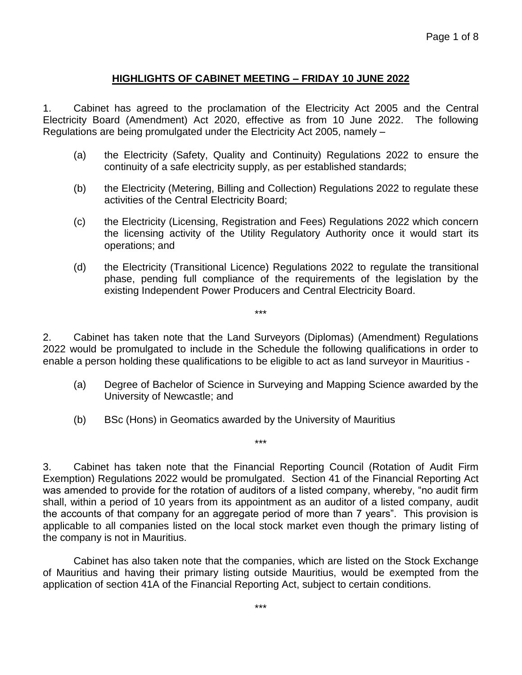## **HIGHLIGHTS OF CABINET MEETING – FRIDAY 10 JUNE 2022**

1. Cabinet has agreed to the proclamation of the Electricity Act 2005 and the Central Electricity Board (Amendment) Act 2020, effective as from 10 June 2022. The following Regulations are being promulgated under the Electricity Act 2005, namely –

- (a) the Electricity (Safety, Quality and Continuity) Regulations 2022 to ensure the continuity of a safe electricity supply, as per established standards;
- (b) the Electricity (Metering, Billing and Collection) Regulations 2022 to regulate these activities of the Central Electricity Board;
- (c) the Electricity (Licensing, Registration and Fees) Regulations 2022 which concern the licensing activity of the Utility Regulatory Authority once it would start its operations; and
- (d) the Electricity (Transitional Licence) Regulations 2022 to regulate the transitional phase, pending full compliance of the requirements of the legislation by the existing Independent Power Producers and Central Electricity Board.

2. Cabinet has taken note that the Land Surveyors (Diplomas) (Amendment) Regulations 2022 would be promulgated to include in the Schedule the following qualifications in order to enable a person holding these qualifications to be eligible to act as land surveyor in Mauritius -

\*\*\*

- (a) Degree of Bachelor of Science in Surveying and Mapping Science awarded by the University of Newcastle; and
- (b) BSc (Hons) in Geomatics awarded by the University of Mauritius

3. Cabinet has taken note that the Financial Reporting Council (Rotation of Audit Firm Exemption) Regulations 2022 would be promulgated. Section 41 of the Financial Reporting Act was amended to provide for the rotation of auditors of a listed company, whereby, "no audit firm shall, within a period of 10 years from its appointment as an auditor of a listed company, audit the accounts of that company for an aggregate period of more than 7 years". This provision is applicable to all companies listed on the local stock market even though the primary listing of the company is not in Mauritius.

\*\*\*

Cabinet has also taken note that the companies, which are listed on the Stock Exchange of Mauritius and having their primary listing outside Mauritius, would be exempted from the application of section 41A of the Financial Reporting Act, subject to certain conditions.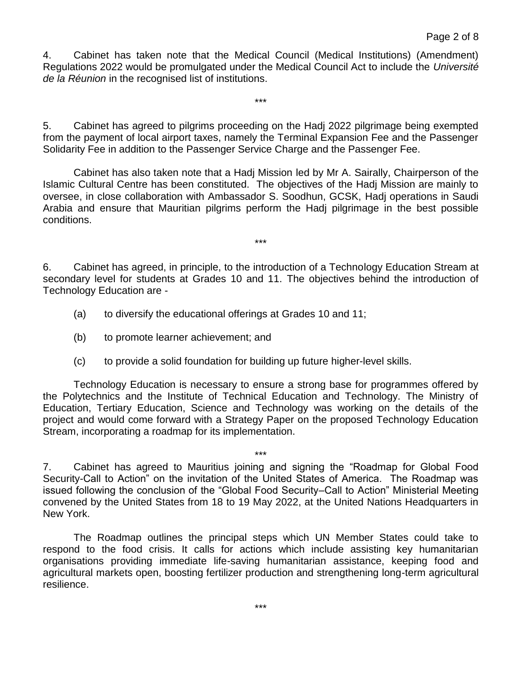4. Cabinet has taken note that the Medical Council (Medical Institutions) (Amendment) Regulations 2022 would be promulgated under the Medical Council Act to include the *Université de la Réunion* in the recognised list of institutions.

5. Cabinet has agreed to pilgrims proceeding on the Hadj 2022 pilgrimage being exempted from the payment of local airport taxes, namely the Terminal Expansion Fee and the Passenger Solidarity Fee in addition to the Passenger Service Charge and the Passenger Fee.

\*\*\*

Cabinet has also taken note that a Hadj Mission led by Mr A. Sairally, Chairperson of the Islamic Cultural Centre has been constituted. The objectives of the Hadj Mission are mainly to oversee, in close collaboration with Ambassador S. Soodhun, GCSK, Hadj operations in Saudi Arabia and ensure that Mauritian pilgrims perform the Hadj pilgrimage in the best possible conditions.

6. Cabinet has agreed, in principle, to the introduction of a Technology Education Stream at secondary level for students at Grades 10 and 11. The objectives behind the introduction of Technology Education are -

\*\*\*

- (a) to diversify the educational offerings at Grades 10 and 11;
- (b) to promote learner achievement; and
- (c) to provide a solid foundation for building up future higher-level skills.

Technology Education is necessary to ensure a strong base for programmes offered by the Polytechnics and the Institute of Technical Education and Technology. The Ministry of Education, Tertiary Education, Science and Technology was working on the details of the project and would come forward with a Strategy Paper on the proposed Technology Education Stream, incorporating a roadmap for its implementation.

7. Cabinet has agreed to Mauritius joining and signing the "Roadmap for Global Food Security-Call to Action" on the invitation of the United States of America. The Roadmap was issued following the conclusion of the "Global Food Security–Call to Action" Ministerial Meeting convened by the United States from 18 to 19 May 2022, at the United Nations Headquarters in New York.

\*\*\*

The Roadmap outlines the principal steps which UN Member States could take to respond to the food crisis. It calls for actions which include assisting key humanitarian organisations providing immediate life-saving humanitarian assistance, keeping food and agricultural markets open, boosting fertilizer production and strengthening long-term agricultural resilience.

\*\*\*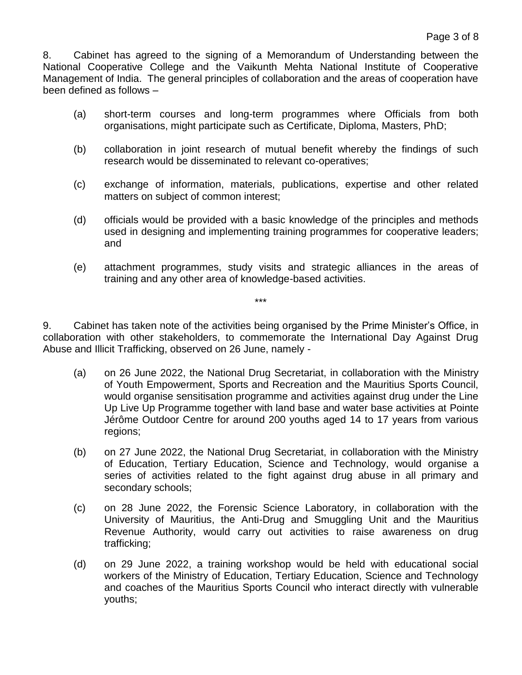8. Cabinet has agreed to the signing of a Memorandum of Understanding between the National Cooperative College and the Vaikunth Mehta National Institute of Cooperative Management of India. The general principles of collaboration and the areas of cooperation have been defined as follows –

- (a) short-term courses and long-term programmes where Officials from both organisations, might participate such as Certificate, Diploma, Masters, PhD;
- (b) collaboration in joint research of mutual benefit whereby the findings of such research would be disseminated to relevant co-operatives;
- (c) exchange of information, materials, publications, expertise and other related matters on subject of common interest;
- (d) officials would be provided with a basic knowledge of the principles and methods used in designing and implementing training programmes for cooperative leaders; and
- (e) attachment programmes, study visits and strategic alliances in the areas of training and any other area of knowledge-based activities.

9. Cabinet has taken note of the activities being organised by the Prime Minister's Office, in collaboration with other stakeholders, to commemorate the International Day Against Drug Abuse and Illicit Trafficking, observed on 26 June, namely -

\*\*\*

- (a) on 26 June 2022, the National Drug Secretariat, in collaboration with the Ministry of Youth Empowerment, Sports and Recreation and the Mauritius Sports Council, would organise sensitisation programme and activities against drug under the Line Up Live Up Programme together with land base and water base activities at Pointe Jérôme Outdoor Centre for around 200 youths aged 14 to 17 years from various regions;
- (b) on 27 June 2022, the National Drug Secretariat, in collaboration with the Ministry of Education, Tertiary Education, Science and Technology, would organise a series of activities related to the fight against drug abuse in all primary and secondary schools;
- (c) on 28 June 2022, the Forensic Science Laboratory, in collaboration with the University of Mauritius, the Anti-Drug and Smuggling Unit and the Mauritius Revenue Authority, would carry out activities to raise awareness on drug trafficking;
- (d) on 29 June 2022, a training workshop would be held with educational social workers of the Ministry of Education, Tertiary Education, Science and Technology and coaches of the Mauritius Sports Council who interact directly with vulnerable youths;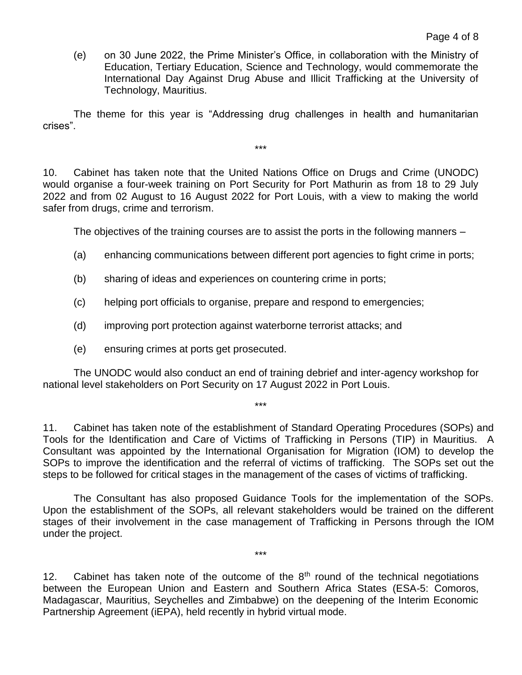(e) on 30 June 2022, the Prime Minister's Office, in collaboration with the Ministry of Education, Tertiary Education, Science and Technology, would commemorate the International Day Against Drug Abuse and Illicit Trafficking at the University of Technology, Mauritius.

The theme for this year is "Addressing drug challenges in health and humanitarian crises".

\*\*\*

10. Cabinet has taken note that the United Nations Office on Drugs and Crime (UNODC) would organise a four-week training on Port Security for Port Mathurin as from 18 to 29 July 2022 and from 02 August to 16 August 2022 for Port Louis, with a view to making the world safer from drugs, crime and terrorism.

The objectives of the training courses are to assist the ports in the following manners –

- (a) enhancing communications between different port agencies to fight crime in ports;
- (b) sharing of ideas and experiences on countering crime in ports;
- (c) helping port officials to organise, prepare and respond to emergencies;
- (d) improving port protection against waterborne terrorist attacks; and
- (e) ensuring crimes at ports get prosecuted.

The UNODC would also conduct an end of training debrief and inter-agency workshop for national level stakeholders on Port Security on 17 August 2022 in Port Louis.

\*\*\*

11. Cabinet has taken note of the establishment of Standard Operating Procedures (SOPs) and Tools for the Identification and Care of Victims of Trafficking in Persons (TIP) in Mauritius. A Consultant was appointed by the International Organisation for Migration (IOM) to develop the SOPs to improve the identification and the referral of victims of trafficking. The SOPs set out the steps to be followed for critical stages in the management of the cases of victims of trafficking.

The Consultant has also proposed Guidance Tools for the implementation of the SOPs. Upon the establishment of the SOPs, all relevant stakeholders would be trained on the different stages of their involvement in the case management of Trafficking in Persons through the IOM under the project.

12. Cabinet has taken note of the outcome of the  $8<sup>th</sup>$  round of the technical negotiations between the European Union and Eastern and Southern Africa States (ESA-5: Comoros, Madagascar, Mauritius, Seychelles and Zimbabwe) on the deepening of the Interim Economic Partnership Agreement (iEPA), held recently in hybrid virtual mode.

\*\*\*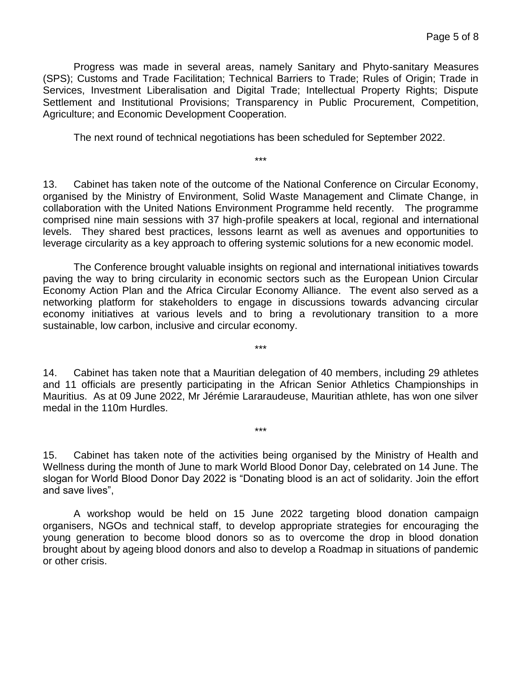Progress was made in several areas, namely Sanitary and Phyto-sanitary Measures (SPS); Customs and Trade Facilitation; Technical Barriers to Trade; Rules of Origin; Trade in Services, Investment Liberalisation and Digital Trade; Intellectual Property Rights; Dispute Settlement and Institutional Provisions; Transparency in Public Procurement, Competition, Agriculture; and Economic Development Cooperation.

The next round of technical negotiations has been scheduled for September 2022.

\*\*\*

13. Cabinet has taken note of the outcome of the National Conference on Circular Economy, organised by the Ministry of Environment, Solid Waste Management and Climate Change, in collaboration with the United Nations Environment Programme held recently. The programme comprised nine main sessions with 37 high-profile speakers at local, regional and international levels. They shared best practices, lessons learnt as well as avenues and opportunities to leverage circularity as a key approach to offering systemic solutions for a new economic model.

The Conference brought valuable insights on regional and international initiatives towards paving the way to bring circularity in economic sectors such as the European Union Circular Economy Action Plan and the Africa Circular Economy Alliance. The event also served as a networking platform for stakeholders to engage in discussions towards advancing circular economy initiatives at various levels and to bring a revolutionary transition to a more sustainable, low carbon, inclusive and circular economy.

14. Cabinet has taken note that a Mauritian delegation of 40 members, including 29 athletes and 11 officials are presently participating in the African Senior Athletics Championships in Mauritius. As at 09 June 2022, Mr Jérémie Lararaudeuse, Mauritian athlete, has won one silver medal in the 110m Hurdles.

\*\*\*

\*\*\*

15. Cabinet has taken note of the activities being organised by the Ministry of Health and Wellness during the month of June to mark World Blood Donor Day, celebrated on 14 June. The slogan for World Blood Donor Day 2022 is "Donating blood is an act of solidarity. Join the effort and save lives",

A workshop would be held on 15 June 2022 targeting blood donation campaign organisers, NGOs and technical staff, to develop appropriate strategies for encouraging the young generation to become blood donors so as to overcome the drop in blood donation brought about by ageing blood donors and also to develop a Roadmap in situations of pandemic or other crisis.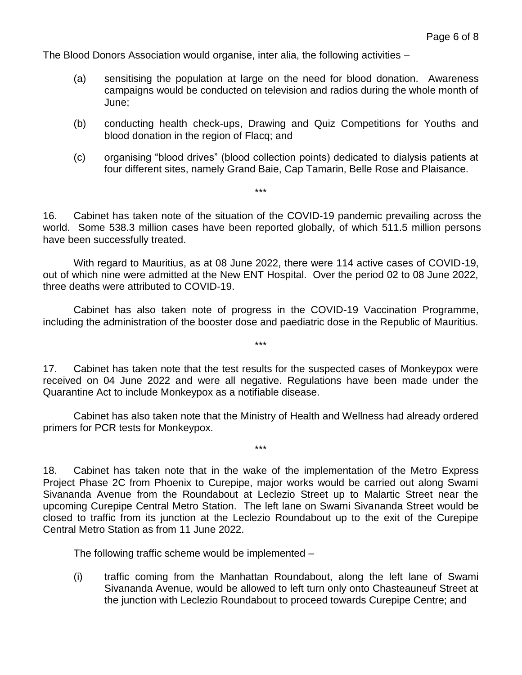The Blood Donors Association would organise, inter alia, the following activities –

- (a) sensitising the population at large on the need for blood donation. Awareness campaigns would be conducted on television and radios during the whole month of June;
- (b) conducting health check-ups, Drawing and Quiz Competitions for Youths and blood donation in the region of Flacq; and
- (c) organising "blood drives" (blood collection points) dedicated to dialysis patients at four different sites, namely Grand Baie, Cap Tamarin, Belle Rose and Plaisance.

16. Cabinet has taken note of the situation of the COVID-19 pandemic prevailing across the world. Some 538.3 million cases have been reported globally, of which 511.5 million persons have been successfully treated.

\*\*\*

With regard to Mauritius, as at 08 June 2022, there were 114 active cases of COVID-19, out of which nine were admitted at the New ENT Hospital. Over the period 02 to 08 June 2022, three deaths were attributed to COVID-19.

Cabinet has also taken note of progress in the COVID-19 Vaccination Programme, including the administration of the booster dose and paediatric dose in the Republic of Mauritius.

\*\*\*

17. Cabinet has taken note that the test results for the suspected cases of Monkeypox were received on 04 June 2022 and were all negative. Regulations have been made under the Quarantine Act to include Monkeypox as a notifiable disease.

Cabinet has also taken note that the Ministry of Health and Wellness had already ordered primers for PCR tests for Monkeypox.

\*\*\*

18. Cabinet has taken note that in the wake of the implementation of the Metro Express Project Phase 2C from Phoenix to Curepipe, major works would be carried out along Swami Sivananda Avenue from the Roundabout at Leclezio Street up to Malartic Street near the upcoming Curepipe Central Metro Station. The left lane on Swami Sivananda Street would be closed to traffic from its junction at the Leclezio Roundabout up to the exit of the Curepipe Central Metro Station as from 11 June 2022.

The following traffic scheme would be implemented –

(i) traffic coming from the Manhattan Roundabout, along the left lane of Swami Sivananda Avenue, would be allowed to left turn only onto Chasteauneuf Street at the junction with Leclezio Roundabout to proceed towards Curepipe Centre; and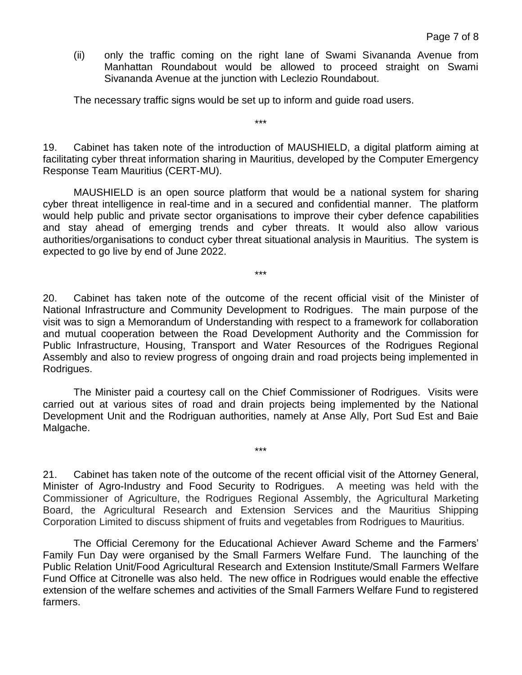(ii) only the traffic coming on the right lane of Swami Sivananda Avenue from Manhattan Roundabout would be allowed to proceed straight on Swami Sivananda Avenue at the junction with Leclezio Roundabout.

The necessary traffic signs would be set up to inform and guide road users.

19. Cabinet has taken note of the introduction of MAUSHIELD, a digital platform aiming at facilitating cyber threat information sharing in Mauritius, developed by the Computer Emergency Response Team Mauritius (CERT-MU).

\*\*\*

MAUSHIELD is an open source platform that would be a national system for sharing cyber threat intelligence in real-time and in a secured and confidential manner. The platform would help public and private sector organisations to improve their cyber defence capabilities and stay ahead of emerging trends and cyber threats. It would also allow various authorities/organisations to conduct cyber threat situational analysis in Mauritius. The system is expected to go live by end of June 2022.

\*\*\*

20. Cabinet has taken note of the outcome of the recent official visit of the Minister of National Infrastructure and Community Development to Rodrigues. The main purpose of the visit was to sign a Memorandum of Understanding with respect to a framework for collaboration and mutual cooperation between the Road Development Authority and the Commission for Public Infrastructure, Housing, Transport and Water Resources of the Rodrigues Regional Assembly and also to review progress of ongoing drain and road projects being implemented in Rodrigues.

The Minister paid a courtesy call on the Chief Commissioner of Rodrigues. Visits were carried out at various sites of road and drain projects being implemented by the National Development Unit and the Rodriguan authorities, namely at Anse Ally, Port Sud Est and Baie Malgache.

\*\*\*

21. Cabinet has taken note of the outcome of the recent official visit of the Attorney General, Minister of Agro-Industry and Food Security to Rodrigues. A meeting was held with the Commissioner of Agriculture, the Rodrigues Regional Assembly, the Agricultural Marketing Board, the Agricultural Research and Extension Services and the Mauritius Shipping Corporation Limited to discuss shipment of fruits and vegetables from Rodrigues to Mauritius.

The Official Ceremony for the Educational Achiever Award Scheme and the Farmers' Family Fun Day were organised by the Small Farmers Welfare Fund. The launching of the Public Relation Unit/Food Agricultural Research and Extension Institute/Small Farmers Welfare Fund Office at Citronelle was also held. The new office in Rodrigues would enable the effective extension of the welfare schemes and activities of the Small Farmers Welfare Fund to registered farmers.